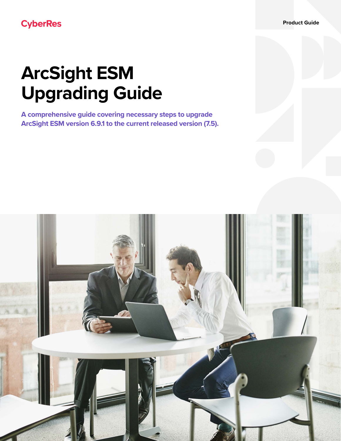**Product Guide**

# **CyberRes**

# **ArcSight ESM Upgrading Guide**

**A comprehensive guide covering necessary steps to upgrade ArcSight ESM version 6.9.1 to the current released version (7.5).** 

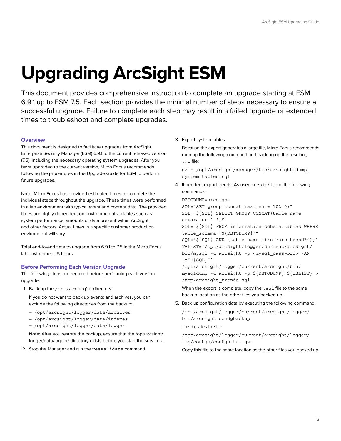# **Upgrading ArcSight ESM**

This document provides comprehensive instruction to complete an upgrade starting at ESM 6.9.1 up to ESM 7.5. Each section provides the minimal number of steps necessary to ensure a successful upgrade. Failure to complete each step may result in a failed upgrade or extended times to troubleshoot and complete upgrades.

#### **Overview**

This document is designed to facilitate upgrades from ArcSight Enterprise Security Manager (ESM) 6.9.1 to the current released version (7.5), including the necessary operating system upgrades. After you have upgraded to the current version, Micro Focus recommends following the procedures in the Upgrade Guide for ESM to perform future upgrades.

Note: Micro Focus has provided estimated times to complete the individual steps throughout the upgrade. These times were performed in a lab environment with typical event and content data. The provided times are highly dependent on environmental variables such as system performance, amounts of data present within ArcSight, and other factors. Actual times in a specific customer production environment will vary.

Total end-to-end time to upgrade from 6.9.1 to 7.5 in the Micro Focus lab environment: 5 hours

#### **Before Performing Each Version Upgrade**

The following steps are required before performing each version upgrade.

1. Back up the /opt/arcsight directory.

If you do not want to back up events and archives, you can exclude the following directories from the backup:

- /opt/arcsight/logger/data/archives
- /opt/arcsight/logger/data/indexes
- /opt/arcsight/logger/data/logger

Note: After you restore the backup, ensure that the /opt/arcsight/ logger/data/logger/ directory exists before you start the services.

2. Stop the Manager and run the resvalidate command.

3. Export system tables.

Because the export generates a large file, Micro Focus recommends running the following command and backing up the resulting .gz file:

gzip /opt/arcsight/manager/tmp/arcsight\_dump\_ system\_tables.sql

 4. If needed, export trends. As user arcsight, run the following commands:

DBTODUMP=arcsight

```
SQL="SET group_concat_max_len = 10240;"
SQL="${SQL} SELECT GROUP CONCAT(table name
separator ' ')"
SQL="${SQL} FROM information schema.tables WHERE
table_schema='${DBTODUMP}'"
SQL = "S\{SQL\} AND (table name like 'arc trend%');"
TBLIST=`/opt/arcsight/logger/current/arcsight/
bin/mysql -u arcsight –p <mysql_password> -AN 
-e''\\{SQL\}"
/opt/arcsight/logger/current/arcsight/bin/
mysqldump -u arcsight -p ${DBTODUMP} ${TBLIST} > 
/tmp/arcsight_trends.sql
```
When the export is complete, copy the . sql file to the same backup location as the other files you backed up.

5. Back up configuration data by executing the following command:

/opt/arcsight/logger/current/arcsight/logger/ bin/arcsight configbackup

This creates the file:

/opt/arcsight/logger/current/arcsight/logger/ tmp/configs/configs.tar.gz.

Copy this file to the same location as the other files you backed up.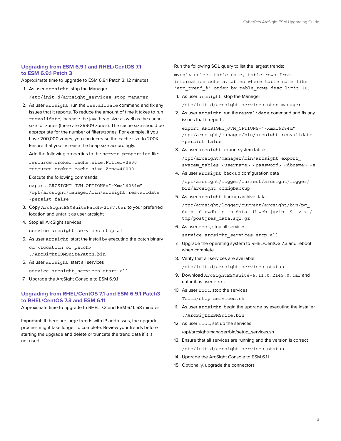#### **Upgrading from ESM 6.9.1 and RHEL/CentOS 7.1 to ESM 6.9.1 Patch 3**

Approximate time to upgrade to ESM 6.9.1 Patch 3: 12 minutes

1. As user arcsight, stop the Manager

/etc/init.d/arcsight\_services stop manager

 2. As user arcsight, run the resvalidate command and fix any issues that it reports. To reduce the amount of time it takes to run resvalidate, increase the java heap size as well as the cache size for zones (there are 39909 zones). The cache size should be appropriate for the number of filters/zones. For example, if you have 200,000 zones, you can increase the cache size to 200K. Ensure that you increase the heap size accordingly.

Add the following properties to the server.properties file:

resource.broker.cache.size.Filter=2500 resource.broker.cache.size.Zone=40000

Execute the following commands:

export ARCSIGHT JVM OPTIONS="-Xmx16284m" /opt/arcsight/manager/bin/arcsight resvalidate -persist false

- 3. Copy ArcSightESMSuitePatch-2137.tar to your preferred location and untar it as user arcsight
- 4. Stop all ArcSight services

service arcsight services stop all

5. As user arcsight, start the install by executing the patch binary

```
cd <location of patch>
./ArcSightESMSuitePatch.bin
```
6. As user arcsight, start all services

service arcsight services start all

7. Upgrade the ArcSight Console to ESM 6.9.1

## **Upgrading from RHEL/CentOS 7.1 and ESM 6.9.1 Patch3 to RHEL/CentOS 7.3 and ESM 6.11**

Approximate time to upgrade to RHEL 7.3 and ESM 6.11: 68 minutes

Important: If there are large trends with IP addresses, the upgrade process might take longer to complete. Review your trends before starting the upgrade and delete or truncate the trend data if it is not used.

Run the following SQL query to list the largest trends:

mysql> select table\_name, table\_rows from information\_schema.tables where table\_name like 'arc\_trend\_%' order by table\_rows desc limit 10;

1. As user arcsight, stop the Manager

/etc/init.d/arcsight\_services stop manager

 2. As user arcsight, run theresvalidate command and fix any issues that it reports

export ARCSIGHT\_JVM\_OPTIONS="-Xmx16284m" /opt/arcsight/manager/bin/arcsight resvalidate -persist false

3. As user arcsight, export system tables

/opt/arcsight/manager/bin/arcsight export\_ system\_tables <username> <password> <dbname> -s

4. As user arcsight, back up configuration data

/opt/arcsight/logger/current/arcsight/logger/ bin/arcsight configbackup

5. As user arcsight, backup archive data

/opt/arcsight/logger/current/arcsight/bin/pg\_ dump -d rwdb -c -n data -U web  $|gzip -9 -v > /$ tmp/postgres\_data.sql.gz

6. As user root, stop all services

service arcsight\_services stop all

- 7. Upgrade the operating system to RHEL/CentOS 7.3 and reboot when complete
- 8. Verify that all services are available

/etc/init.d/arcsight\_services status

- 9. Download ArcSightESMSuite-6.11.0.2149.0.tar and untar it as user root
- 10. As user root, stop the services

Tools/stop\_services.sh

- 11. As user arcsight, begin the upgrade by executing the installer ./ArcSightESMSuite.bin
- 12. As user root, set up the services /opt/arcsight/manager/bin/setup\_services.sh
- 13. Ensure that all services are running and the version is correct /etc/init.d/arcsight\_services status
- 14. Upgrade the ArcSight Console to ESM 6.11
- 15. Optionally, upgrade the connectors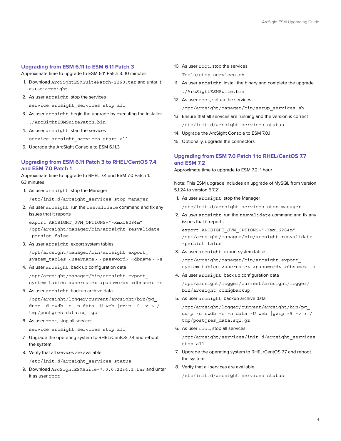#### **Upgrading from ESM 6.11 to ESM 6.11 Patch 3**

Approximate time to upgrade to ESM 6.11 Patch 3: 10 minutes

- 1. Download ArcSightESMSuitePatch-2260.tar and untar it as user arcsight.
- 2. As user arcsight, stop the services

service arcsight\_services stop all

- 3. As user arcsight, begin the upgrade by executing the installer ./ArcSightESMSuitePatch.bin
- 4. As user arcsight, start the services

service arcsight services start all

5. Upgrade the ArcSight Console to ESM 6.11.3

### **Upgrading from ESM 6.11 Patch 3 to RHEL/CentOS 7.4 and ESM 7.0 Patch 1**

Approximate time to upgrade to RHEL 7.4 and ESM 7.0 Patch 1: 63 minutes

1. As user arcsight, stop the Manager

/etc/init.d/arcsight\_services stop manager

 2. As user arcsight, run the resvalidate command and fix any issues that it reports

export ARCSIGHT\_JVM\_OPTIONS="-Xmx16284m" /opt/arcsight/manager/bin/arcsight resvalidate -persist false

3. As user arcsight, export system tables

/opt/arcsight/manager/bin/arcsight export\_ system tables <username> <password> <dbname> -s

4. As user arcsight, back up configuration data

/opt/arcsight/manager/bin/arcsight export\_ system tables <username> <password> <dbname> -s

5. As user arcsight, backup archive data

/opt/arcsight/logger/current/arcsight/bin/pg\_ dump -d rwdb -c -n data -U web  $|gzip -9 -v > /$ tmp/postgres\_data.sql.gz

6. As user root, stop all services

service arcsight services stop all

- 7. Upgrade the operating system to RHEL/CentOS 7.4 and reboot the system
- 8. Verify that all services are available

```
/etc/init.d/arcsight_services status
```
 9. Download ArcSightESMSuite-7.0.0.2234.1.tar and untar it as user root

- 10. As user root, stop the services Tools/stop\_services.sh
- 11. As user arcsight, install the binary and complete the upgrade ./ArcSightESMSuite.bin
- 12. As user root, set up the services

/opt/arcsight/manager/bin/setup\_services.sh

- 13. Ensure that all services are running and the version is correct /etc/init.d/arcsight\_services status
- 14. Upgrade the ArcSight Console to ESM 7.0.1
- 15. Optionally, upgrade the connectors

### **Upgrading from ESM 7.0 Patch 1 to RHEL/CentOS 7.7 and ESM 7.2**

Approximate time to upgrade to ESM 7.2: 1 hour

Note: This ESM upgrade includes an upgrade of MySQL from version 5.1.24 to version 5.7.21.

1. As user arcsight, stop the Manager

/etc/init.d/arcsight\_services stop manager

 2. As user arcsight, run the resvalidate command and fix any issues that it reports

export ARCSIGHT\_JVM\_OPTIONS="-Xmx16284m" /opt/arcsight/manager/bin/arcsight resvalidate -persist false

3. As user arcsight, export system tables

/opt/arcsight/manager/bin/arcsight export\_ system\_tables <username> <password> <dbname> -s

4. As user arcsight, back up configuration data

/opt/arcsight/logger/current/arcsight/logger/ bin/arcsight configbackup

5. As user arcsight, backup archive data

/opt/arcsight/logger/current/arcsight/bin/pg\_ dump -d rwdb -c -n data -U web |gzip -9 -v > / tmp/postgres\_data.sql.gz

6. As user root, stop all services

/opt/arcsight/services/init.d/arcsight\_services stop all

- 7. Upgrade the operating system to RHEL/CentOS 7.7 and reboot the system
- 8. Verify that all services are available

/etc/init.d/arcsight\_services status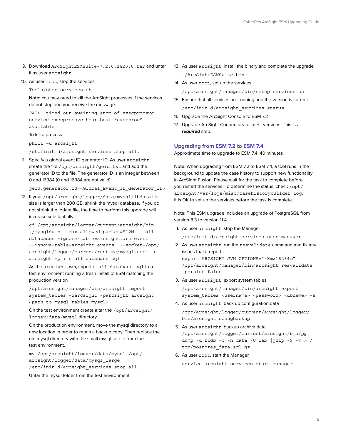- 9. Download ArcSightESMSuite-7.2.0.2420.0.tar and untar it as user arcsight
- 10. As user root, stop the services

Tools/stop\_services.sh

Note: You may need to kill the ArcSight processes if the services do not stop and you receive the message:

FAIL: timed out awaiting stop of execprocsvc service execprocsvc heartbeat "execproc": available

To kill a process

pkill –u arcsight

/etc/init.d/arcsight\_services stop all.

11. Specify a global event ID generator ID. As user arcsight, create the file /opt/arcsight/geid.txt and add the generator ID to the file. The generator ID is an integer between 0 and 16384 (0 and 16384 are not valid):

geid.generator.id=<Global\_Event\_ID\_Generator\_ID>

12. If your /opt/arcsight/logger/data/mysql/ibdata file size is larger than 200 GB, shrink the mysql database. If you do not shrink the ibdata file, the time to perform this upgrade will increase substantially.

```
cd /opt/arcsight/logger/current/arcsight/bin
./mysqldump --max_allowed_packet=512M --all-
databases –ignore-table=arcsight.arc_event 
--ignore-table=arcsight.events --socket=/opt/
arcsight/logger/current/runtime/mysql.sock -u 
arcsight -p > small_database.sql
```
As the arcsight user, import small\_database.sql to a test environment running a fresh install of ESM matching the production version

/opt/arcsight/manager/bin/arcsight import\_ system\_tables -uarcsight -parcsight arcsight <path to mysql tables.mysql>

On the test environment create a tar the /opt/arcsight/ logger/data/mysql directory

On the production environment, move the mysql directory to a new location in order to retain a backup copy. Then replace the old mysql directory with the small mysql tar file from the test environment.

mv /opt/arcsight/logger/data/mysql /opt/ arcsight/logger/data/mysql\_large /etc/init.d/arcsight\_services stop all.

Untar the mysql folder from the test environment

- 13. As user arcsight, install the binary and complete the upgrade ./ArcSightESMSuite.bin
- 14. As user root, set up the services. /opt/arcsight/manager/bin/setup\_services.sh
- 15. Ensure that all services are running and the version is correct /etc/init.d/arcsight\_services status
- 16. Upgrade the ArcSight Console to ESM 7.2
- 17. Upgrade ArcSight Connectors to latest versions. This is a *required* step.

#### **Upgrading from ESM 7.2 to ESM 7.4**

Approximate time to upgrade to ESM 7.4: 40 minutes

Note: When upgrading from ESM 7.2 to ESM 7.4, a tool runs in the background to update the case history to support new functionality in ArcSight Fusion. Please wait for the task to complete before you restart the services. To determine the status, check /opt/ arcsight/var/logs/misc/casehistorybuilder.log. It is OK to set up the services before the task is complete.

Note: This ESM upgrade includes an upgrade of PostgreSQL from version 8.3 to version 11.4.

1. As user arcsight, stop the Manager

/etc/init.d/arcsight\_services stop manager

- 2. As user arcsight, run the resvalidate command and fix any issues that it reports export ARCSIGHT\_JVM\_OPTIONS="-Xmx16284m" /opt/arcsight/manager/bin/arcsight resvalidate -persist false
- 3. As user arcsight, export system tables

/opt/arcsight/manager/bin/arcsight export\_ system tables <username> <password> <dbname> -s

- 4. As user arcsight, back up configuration data /opt/arcsight/logger/current/arcsight/logger/ bin/arcsight configbackup
- 5. As user arcsight, backup archive data /opt/arcsight/logger/current/arcsight/bin/pg\_ dump -d rwdb -c -n data -U web  $|$ gzip -9 -v > / tmp/postgres\_data.sql.gz
- 6. As user root, start the Manager

service arcsight\_services start manager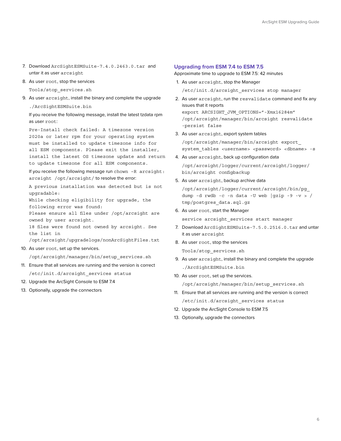- 7. Download ArcSightESMSuite-7.4.0.2463.0.tar and untar it as user arcsight
- 8. As user root, stop the services

Tools/stop\_services.sh

 9. As user arcsight, install the binary and complete the upgrade ./ArcSightESMSuite.bin

If you receive the following message, install the latest tzdata rpm as user root:

Pre-Install check failed: A timezone version 2020a or later rpm for your operating system must be installed to update timezone info for all ESM components. Please exit the installer, install the latest OS timezone update and return to update timezone for all ESM components.

If you receive the following message run chown –R arcsight: arcsight /opt/arcsight/ to resolve the error:

A previous installation was detected but is not upgradable:

While checking eligibility for upgrade, the following error was found:

Please ensure all files under /opt/arcsight are owned by user arcsight.

18 files were found not owned by arcsight. See the list in

/opt/arcsight/upgradelogs/nonArcSightFiles.txt

10. As user root, set up the services.

/opt/arcsight/manager/bin/setup\_services.sh

- 11. Ensure that all services are running and the version is correct /etc/init.d/arcsight\_services status
- 12. Upgrade the ArcSight Console to ESM 7.4
- 13. Optionally, upgrade the connectors

#### **Upgrading from ESM 7.4 to ESM 7.5**

Approximate time to upgrade to ESM 7.5: 42 minutes

- 1. As user arcsight, stop the Manager /etc/init.d/arcsight\_services stop manager
- 2. As user arcsight, run the resvalidate command and fix any issues that it reports export ARCSIGHT JVM OPTIONS="-Xmx16284m" /opt/arcsight/manager/bin/arcsight resvalidate -persist false
- 3. As user arcsight, export system tables

/opt/arcsight/manager/bin/arcsight export\_ system tables <username> <password> <dbname> -s

- 4. As user arcsight, back up configuration data /opt/arcsight/logger/current/arcsight/logger/ bin/arcsight configbackup
- 5. As user arcsight, backup archive data

/opt/arcsight/logger/current/arcsight/bin/pg\_ dump -d rwdb -c -n data -U web  $|gzip -9 -v > /$ tmp/postgres\_data.sql.gz

6. As user root, start the Manager

service arcsight services start manager

- 7. Download ArcSightESMSuite-7.5.0.2516.0.tar and untar it as user arcsight
- 8. As user root, stop the services

Tools/stop\_services.sh

- 9. As user arcsight, install the binary and complete the upgrade ./ArcSightESMSuite.bin
- 10. As user root, set up the services.

/opt/arcsight/manager/bin/setup\_services.sh

- 11. Ensure that all services are running and the version is correct /etc/init.d/arcsight\_services status
- 12. Upgrade the ArcSight Console to ESM 7.5
- 13. Optionally, upgrade the connectors